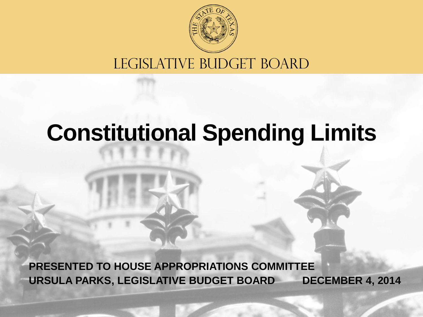

#### LEGISLATIVE BUDGET BOARD

#### **Constitutional Spending Limits**

**URSULA PARKS, LEGISLATIVE BUDGET BOARD PRESENTED TO HOUSE APPROPRIATIONS COMMITTEE DECEMBER 4, 2014**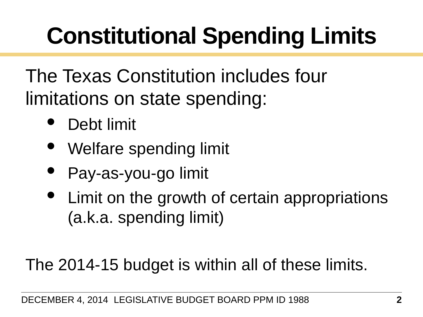# **Constitutional Spending Limits**

The Texas Constitution includes four limitations on state spending:

- Debt limit
- Welfare spending limit
- Pay-as-you-go limit
- Limit on the growth of certain appropriations (a.k.a. spending limit)

The 2014-15 budget is within all of these limits.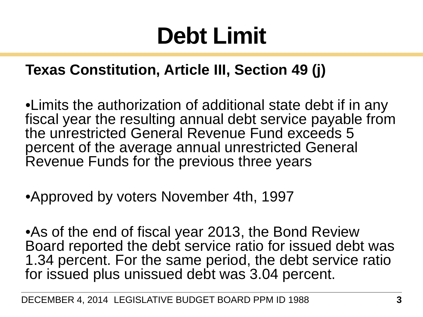#### **Debt Limit**

#### **Texas Constitution, Article III, Section 49 (j)**

•Limits the authorization of additional state debt if in any fiscal year the resulting annual debt service payable from the unrestricted General Revenue Fund exceeds 5 percent of the average annual unrestricted General Revenue Funds for the previous three years

•Approved by voters November 4th, 1997

•As of the end of fiscal year 2013, the Bond Review Board reported the debt service ratio for issued debt was 1.34 percent. For the same period, the debt service ratio for issued plus unissued debt was 3.04 percent.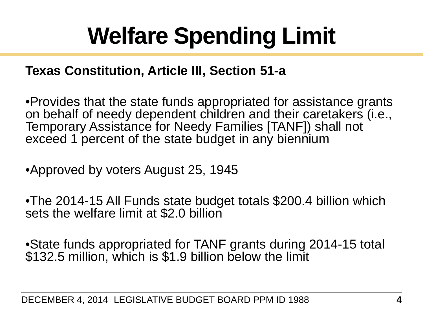### **Welfare Spending Limit**

#### **Texas Constitution, Article III, Section 51-a**

•Provides that the state funds appropriated for assistance grants on behalf of needy dependent children and their caretakers (i.e., Temporary Assistance for Needy Families [TANF]) shall not exceed 1 percent of the state budget in any biennium

•Approved by voters August 25, 1945

•The 2014-15 All Funds state budget totals \$200.4 billion which sets the welfare limit at \$2.0 billion

•State funds appropriated for TANF grants during 2014-15 total \$132.5 million, which is \$1.9 billion below the limit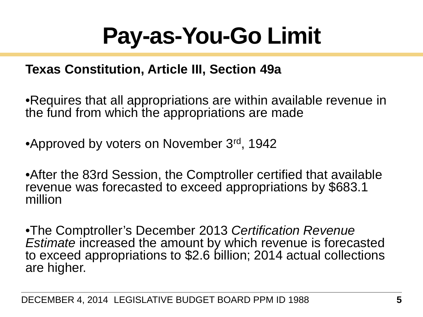#### **Pay-as-You-Go Limit**

#### **Texas Constitution, Article III, Section 49a**

•Requires that all appropriations are within available revenue in the fund from which the appropriations are made

•Approved by voters on November 3rd, 1942

•After the 83rd Session, the Comptroller certified that available revenue was forecasted to exceed appropriations by \$683.1 million

•The Comptroller's December 2013 *Certification Revenue*  to exceed appropriations to \$2.6 billion; 2014 actual collections are higher.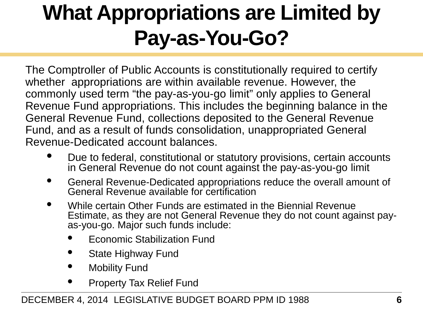#### **What Appropriations are Limited by Pay-as-You-Go?**

The Comptroller of Public Accounts is constitutionally required to certify whether appropriations are within available revenue. However, the commonly used term "the pay-as-you-go limit" only applies to General Revenue Fund appropriations. This includes the beginning balance in the General Revenue Fund, collections deposited to the General Revenue Fund, and as a result of funds consolidation, unappropriated General Revenue-Dedicated account balances.

- Due to federal, constitutional or statutory provisions, certain accounts in General Revenue do not count against the pay-as-you-go limit
- General Revenue-Dedicated appropriations reduce the overall amount of General Revenue available for certification
- While certain Other Funds are estimated in the Biennial Revenue Estimate, as they are not General Revenue they do not count against pay- as-you-go. Major such funds include:
	- Economic Stabilization Fund
	- State Highway Fund
	- **Mobility Fund**
	- Property Tax Relief Fund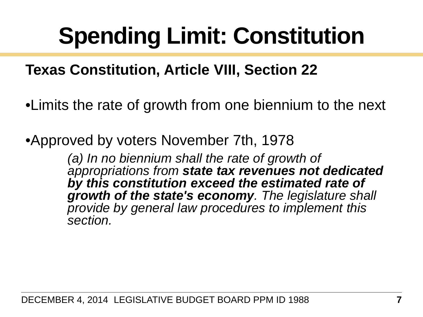### **Spending Limit: Constitution**

#### **Texas Constitution, Article VIII, Section 22**

•Limits the rate of growth from one biennium to the next

•Approved by voters November 7th, 1978

*(a) In no biennium shall the rate of growth of appropriations from state tax revenues not dedicated by this constitution exceed the estimated rate of growth of the state's economy. The legislature shall provide by general law procedures to implement this section.*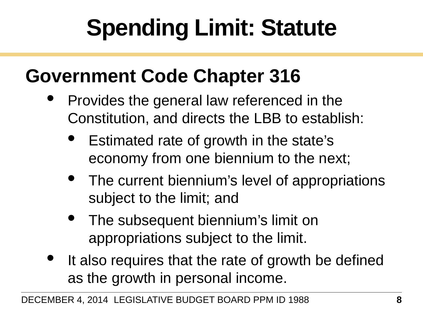# **Spending Limit: Statute**

#### **Government Code Chapter 316**

- Provides the general law referenced in the Constitution, and directs the LBB to establish:
	- Estimated rate of growth in the state's economy from one biennium to the next;
	- The current biennium's level of appropriations subject to the limit; and
	- The subsequent biennium's limit on appropriations subject to the limit.
- It also requires that the rate of growth be defined as the growth in personal income.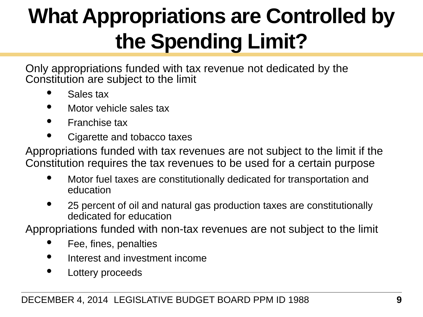#### **What Appropriations are Controlled by the Spending Limit?**

Only appropriations funded with tax revenue not dedicated by the Constitution are subject to the limit

- Sales tax
- Motor vehicle sales tax
- Franchise tax
- Cigarette and tobacco taxes

Appropriations funded with tax revenues are not subject to the limit if the Constitution requires the tax revenues to be used for a certain purpose

- Motor fuel taxes are constitutionally dedicated for transportation and education
- 25 percent of oil and natural gas production taxes are constitutionally dedicated for education

Appropriations funded with non-tax revenues are not subject to the limit

- Fee, fines, penalties
- Interest and investment income
- Lottery proceeds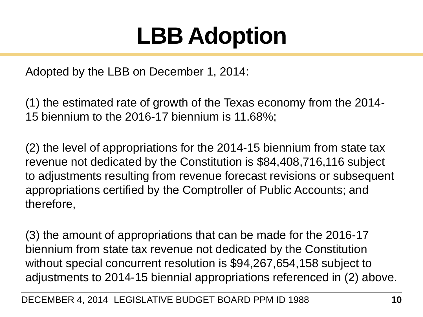#### **LBB Adoption**

Adopted by the LBB on December 1, 2014:

(1) the estimated rate of growth of the Texas economy from the 2014- 15 biennium to the 2016-17 biennium is 11.68%;

(2) the level of appropriations for the 2014-15 biennium from state tax revenue not dedicated by the Constitution is \$84,408,716,116 subject to adjustments resulting from revenue forecast revisions or subsequent appropriations certified by the Comptroller of Public Accounts; and therefore,

(3) the amount of appropriations that can be made for the 2016-17 biennium from state tax revenue not dedicated by the Constitution without special concurrent resolution is \$94,267,654,158 subject to adjustments to 2014-15 biennial appropriations referenced in (2) above.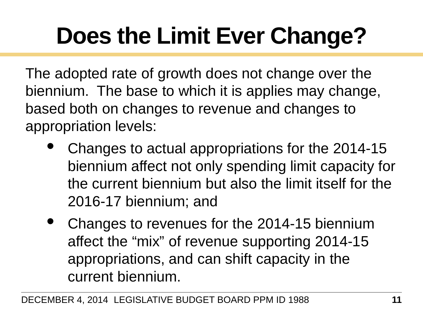# **Does the Limit Ever Change?**

The adopted rate of growth does not change over the biennium. The base to which it is applies may change, based both on changes to revenue and changes to appropriation levels:

- Changes to actual appropriations for the 2014-15 biennium affect not only spending limit capacity for the current biennium but also the limit itself for the 2016-17 biennium; and
- Changes to revenues for the 2014-15 biennium affect the "mix" of revenue supporting 2014-15 appropriations, and can shift capacity in the current biennium.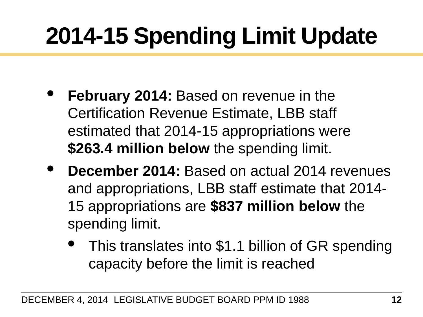### **2014-15 Spending Limit Update**

- **February 2014:** Based on revenue in the Certification Revenue Estimate, LBB staff estimated that 2014-15 appropriations were **\$263.4 million below** the spending limit.
- **December 2014:** Based on actual 2014 revenues and appropriations, LBB staff estimate that 2014- 15 appropriations are **\$837 million below** the spending limit.
	- This translates into \$1.1 billion of GR spending capacity before the limit is reached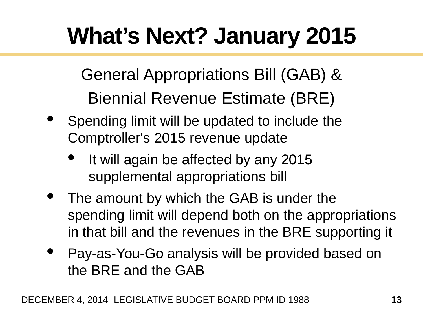### **What's Next? January 2015**

General Appropriations Bill (GAB) & Biennial Revenue Estimate (BRE)

- Spending limit will be updated to include the Comptroller's 2015 revenue update
	- It will again be affected by any 2015 supplemental appropriations bill
- The amount by which the GAB is under the spending limit will depend both on the appropriations in that bill and the revenues in the BRE supporting it
- Pay-as-You-Go analysis will be provided based on the BRE and the GAB